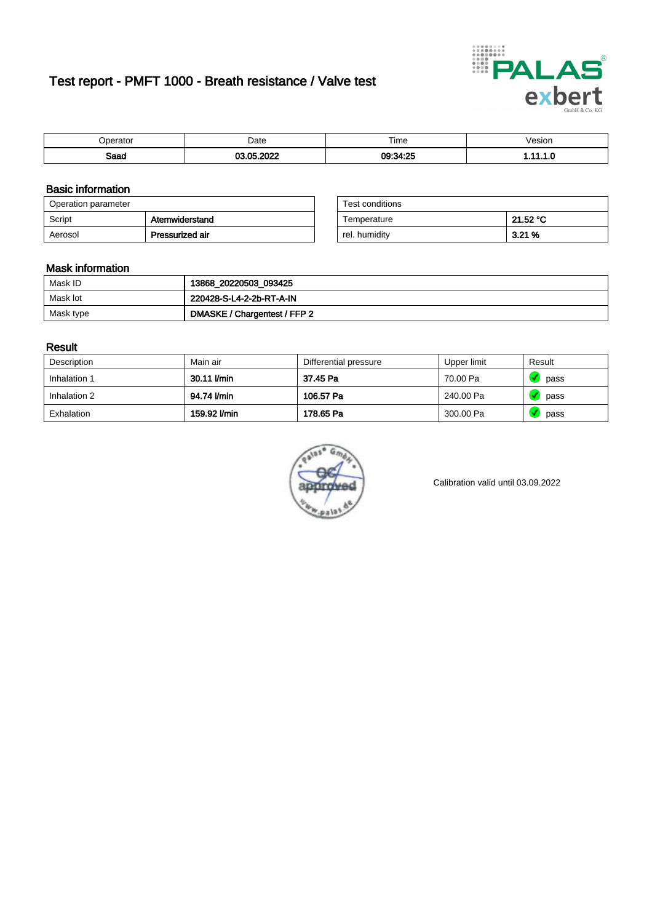# Test report - PMFT 1000 - Breath resistance / Valve test



| maxmax<br>ator | Date | $- \cdot$<br>Time | esion/ |
|----------------|------|-------------------|--------|
| Saad           | റററ  | 09:34:25<br>4.ZU  | .      |

### Basic information

| Operation parameter |                 | Test conditions |          |
|---------------------|-----------------|-----------------|----------|
| Script              | Atemwiderstand  | Temperature     | 21.52 °C |
| Aerosol             | Pressurized air | rel. humidity   | 3.21%    |

| Test conditions |          |
|-----------------|----------|
| Temperature     | 21.52 °C |
| rel. humidity   | 3.21%    |

### Mask information

| Mask ID   | 13868_20220503_093425        |
|-----------|------------------------------|
| Mask lot  | 220428-S-L4-2-2b-RT-A-IN     |
| Mask type | DMASKE / Chargentest / FFP 2 |

### Result

| Description  | Main air     | Differential pressure | Upper limit | Result |
|--------------|--------------|-----------------------|-------------|--------|
| Inhalation 1 | 30.11 l/min  | 37.45 Pa              | 70.00 Pa    | pass   |
| Inhalation 2 | 94.74 I/min  | 106.57 Pa             | 240.00 Pa   | pass   |
| Exhalation   | 159.92 l/min | 178.65 Pa             | 300.00 Pa   | pass   |



Calibration valid until 03.09.2022